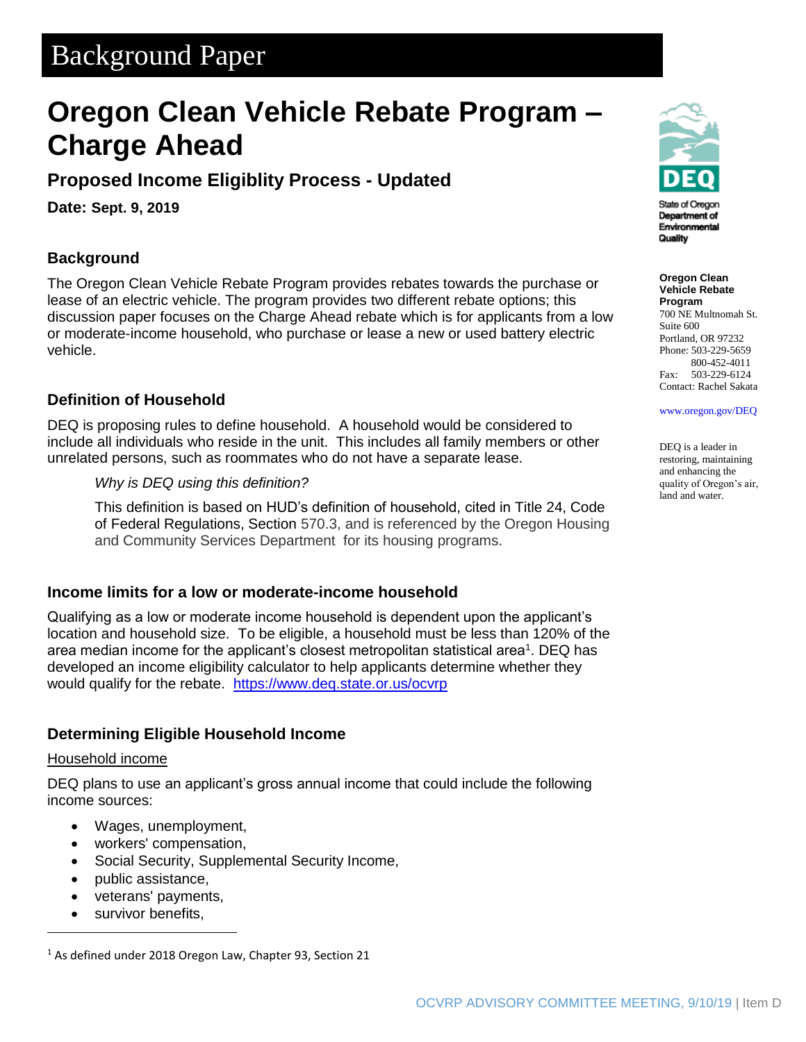# Background Paper

# **Oregon Clean Vehicle Rebate Program – Charge Ahead**

### **Proposed Income Eligiblity Process - Updated**

**Date: Sept. 9, 2019**

### **Background**

The Oregon Clean Vehicle Rebate Program provides rebates towards the purchase or lease of an electric vehicle. The program provides two different rebate options; this discussion paper focuses on the Charge Ahead rebate which is for applicants from a low or moderate-income household, who purchase or lease a new or used battery electric vehicle.

### **Definition of Household**

DEQ is proposing rules to define household. A household would be considered to include all individuals who reside in the unit. This includes all family members or other unrelated persons, such as roommates who do not have a separate lease.

*Why is DEQ using this definition?*

This definition is based on HUD's definition of household, cited in Title 24, Code of Federal Regulations, Section 570.3, and is referenced by the Oregon Housing and Community Services Department for its housing programs.

#### **Income limits for a low or moderate-income household**

Qualifying as a low or moderate income household is dependent upon the applicant's location and household size. To be eligible, a household must be less than 120% of the area median income for the applicant's closest metropolitan statistical area<sup>1</sup>. DEQ has developed an income eligibility calculator to help applicants determine whether they would qualify for the rebate. <https://www.deq.state.or.us/ocvrp>

#### **Determining Eligible Household Income**

#### Household income

DEQ plans to use an applicant's gross annual income that could include the following income sources:

- Wages, unemployment,
- workers' compensation,
- Social Security, Supplemental Security Income,
- public assistance,
- veterans' payments,
- survivor benefits,



State of Oregor Department of Environmental Quality

**Oregon Clean Vehicle Rebate Program** 700 NE Multnomah St. Suite 600 Portland, OR 97232 Phone: 503-229-5659 800-452-4011 Fax: 503-229-6124 Contact: Rachel Sakata

[www.oregon.gov/DEQ](file://///deq000/Templates/General/www.oregon.gov/DEQ)

DEQ is a leader in restoring, maintaining and enhancing the quality of Oregon's air, land and water.

<sup>&</sup>lt;sup>1</sup> As defined under 2018 Oregon Law, Chapter 93, Section 21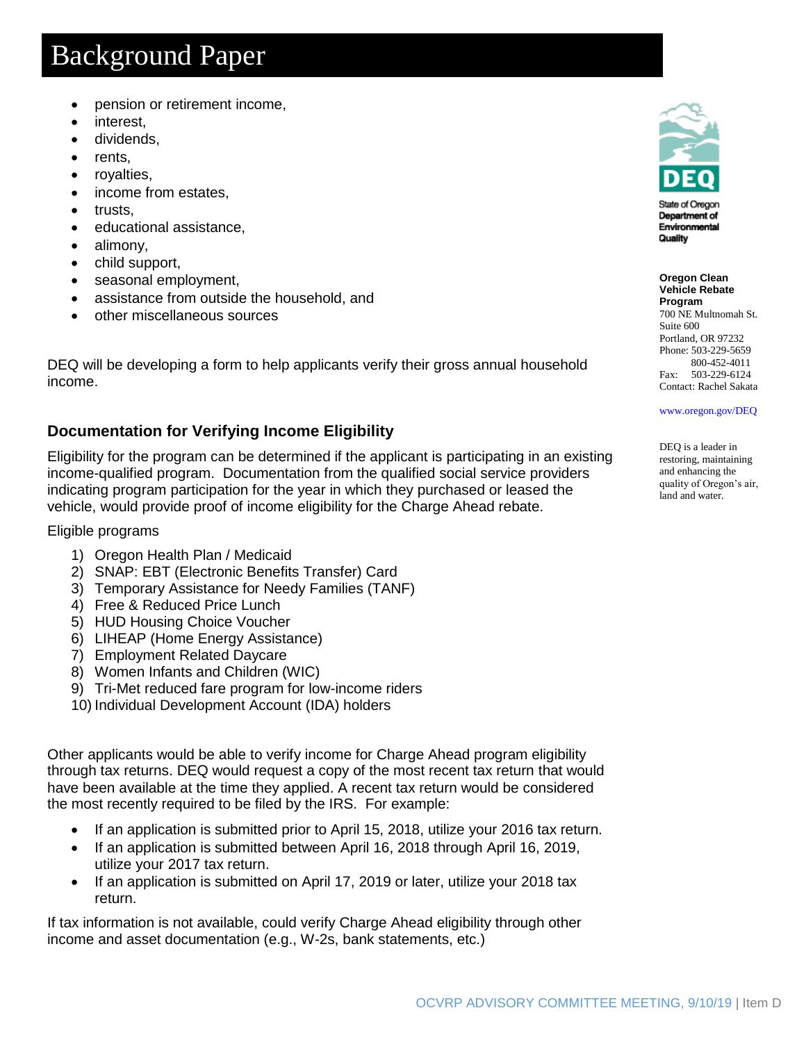# Background Paper

- pension or retirement income,
- interest,
- dividends,
- rents,
- royalties,
- income from estates,
- trusts,
- educational assistance,
- alimony,
- child support,
- seasonal employment,
- assistance from outside the household, and
- other miscellaneous sources

DEQ will be developing a form to help applicants verify their gross annual household income.

### **Documentation for Verifying Income Eligibility**

Eligibility for the program can be determined if the applicant is participating in an existing income-qualified program. Documentation from the qualified social service providers indicating program participation for the year in which they purchased or leased the vehicle, would provide proof of income eligibility for the Charge Ahead rebate.

#### Eligible programs

- 1) Oregon Health Plan / Medicaid
- 2) SNAP: EBT (Electronic Benefits Transfer) Card
- 3) Temporary Assistance for Needy Families (TANF)
- 4) Free & Reduced Price Lunch
- 5) HUD Housing Choice Voucher
- 6) LIHEAP (Home Energy Assistance)
- 7) Employment Related Daycare
- 8) Women Infants and Children (WIC)
- 9) Tri-Met reduced fare program for low-income riders
- 10) Individual Development Account (IDA) holders

Other applicants would be able to verify income for Charge Ahead program eligibility through tax returns. DEQ would request a copy of the most recent tax return that would have been available at the time they applied. A recent tax return would be considered the most recently required to be filed by the IRS. For example:

- If an application is submitted prior to April 15, 2018, utilize your 2016 tax return.
- If an application is submitted between April 16, 2018 through April 16, 2019, utilize your 2017 tax return.
- If an application is submitted on April 17, 2019 or later, utilize your 2018 tax return.

If tax information is not available, could verify Charge Ahead eligibility through other income and asset documentation (e.g., W-2s, bank statements, etc.)



State of Oregon Department of Environmental Quality

**Oregon Clean Vehicle Rebate Program** 700 NE Multnomah St. Suite 600 Portland, OR 97232 Phone: 503-229-5659 800-452-4011 Fax: 503-229-6124 Contact: Rachel Sakata

[www.oregon.gov/DEQ](file://///deq000/Templates/General/www.oregon.gov/DEQ)

DEQ is a leader in restoring, maintaining and enhancing the quality of Oregon's air, land and water.